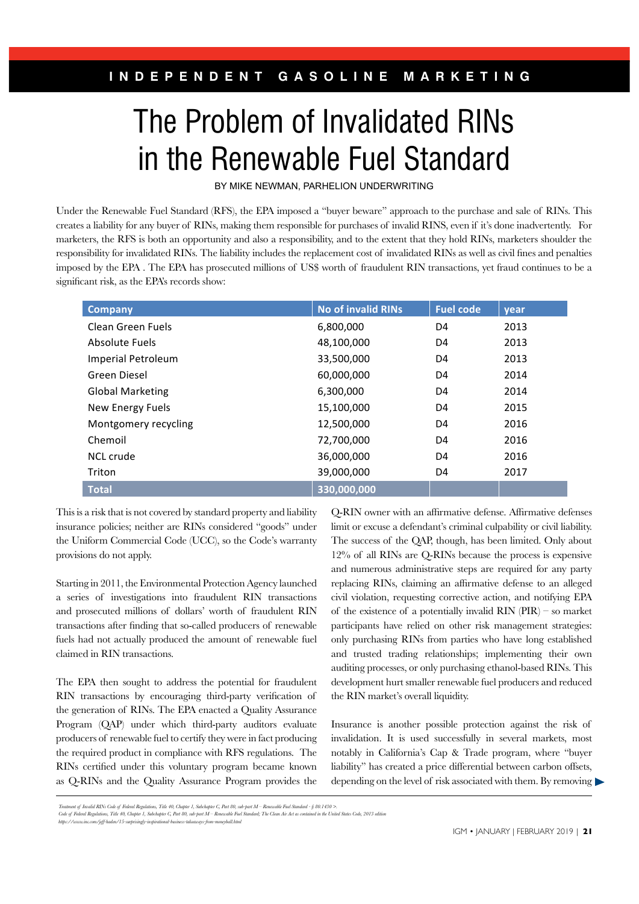## The Problem of Invalidated RINs in the Renewable Fuel Standard  $\blacksquare$  and the netic wavier their otalitiation

BY MIKE NEWMAN, PARHELION UNDERWRITING responsibility, and the sponsibility  $\mathcal{L}$  and  $\mathcal{L}$  and  $\mathcal{L}$  are points in the sponsor of  $\mathcal{L}$ 

Under the Renewable Fuel Standard (RFS), the EPA imposed a "buyer beware" approach to the purchase and sale of RINs. This creates a liability for any buyer of RINs, making them responsible for purchases of invalid RINS, even if it's done inadvertently. For marketers, the RFS is both an opportunity and also a responsibility, and to the extent that they hold RINs, marketers shoulder the responsibility for invalidated RINs. The liability includes the replacement cost of invalidated RINs as well as civil fnes and penalties imposed by the EPA . The EPA has prosecuted millions of US\$ worth of fraudulent RIN transactions, yet fraud continues to be a significant risk, as the EPA's records show:

| <b>Company</b>            | <b>No of invalid RINs</b> | <b>Fuel code</b> | year |
|---------------------------|---------------------------|------------------|------|
| Clean Green Fuels         | 6,800,000                 | D4               | 2013 |
| Absolute Fuels            | 48,100,000                | D4               | 2013 |
| <b>Imperial Petroleum</b> | 33,500,000                | D4               | 2013 |
| Green Diesel              | 60,000,000                | D4               | 2014 |
| <b>Global Marketing</b>   | 6,300,000                 | D4               | 2014 |
| New Energy Fuels          | 15,100,000                | D4               | 2015 |
| Montgomery recycling      | 12,500,000                | D4               | 2016 |
| Chemoil                   | 72,700,000                | D4               | 2016 |
| NCL crude                 | 36,000,000                | D4               | 2016 |
| Triton                    | 39,000,000                | D4               | 2017 |
| <b>Total</b>              | 330,000,000               |                  |      |

This is a risk that is not covered by standard property and liability insurance policies; neither are RINs considered "goods" under the Uniform Commercial Code (UCC), so the Code's warranty provisions do not apply.

Starting in 2011, the Environmental Protection Agency launched a series of investigations into national refix dimensions of the existence of a potentially invalid RIN and prosecuted millions of dollars' worth of fraudulent RIN of the existence of a potentially invalid RIN transactions after finding that so-called producers of renewable participants have relied on other risk management fuels had not actually produced the amount of renewable fuel only purchasing RINs from parties who have long claimed in RIN transactions. a series of investigations into fraudulent RIN transactions

RIN transactions by encouraging third-party verification of the RIN market's overall liquidity. the generation of RINs. The EPA enacted a Quality Assurance Program (QAP) under which third-party auditors evaluate Insurance is another possible protection against the producers of renewable fuel to certify they were in fact producing RINs certified under this voluntary program became known liability" has The EPA then sought to address the potential for fraudulent the required product in compliance with RFS regulations. The as Q-RINs and the Quality Assurance Program provides the

ons do not apply.  $12\%$  of all RINs are Q-RINs because the process is expensive and numerous administrative steps are required for any party  $T$ RA then sought to address the potential for fraudulent development hurt smaller renewable fuel producers and reduced Q-RIN owner with an affrmative defense. Affrmative defenses limit or excuse a defendant's criminal culpability or civil liability. The success of the QAP, though, has been limited. Only about replacing RINs, claiming an affrmative defense to an alleged civil violation, requesting corrective action, and notifying EPA of the existence of a potentially invalid RIN (PIR) – so market participants have relied on other risk management strategies: only purchasing RINs from parties who have long established and trusted trading relationships; implementing their own auditing processes, or only purchasing ethanol-based RINs. This the RIN market's overall liquidity.

quired product in compliance with RFS regulations. The notably in California's Cap & Trade program, where "buyer Insurance is another possible protection against the risk of invalidation. It is used successfully in several markets, most liability" has created a price differential between carbon offsets, depending on the level of risk associated with them. By removing

Treatment of Invalid RINs Code of Federal Regulations, Title 40, Chapter I, Subchapter C, Part 80, sub-part M – Renewable Fuel Standard - § 80.1430 >.<br>Code of Federal Regulations, Title 40, Chapter J, Subchapter C, Part 80